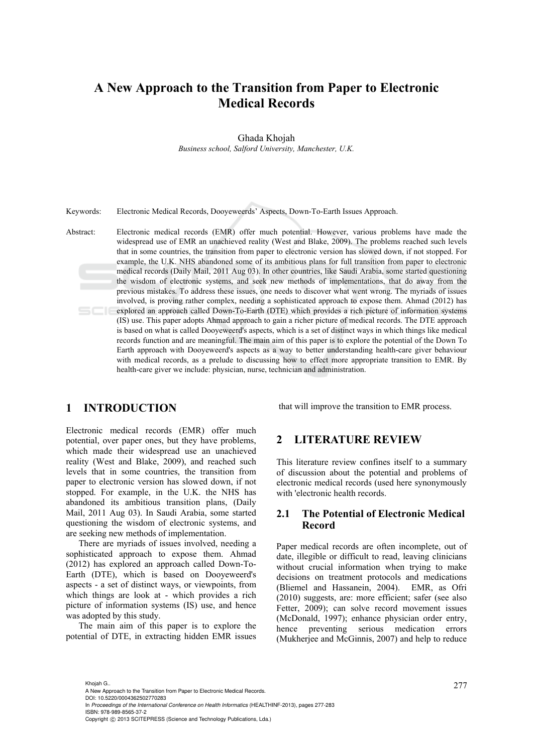# **A New Approach to the Transition from Paper to Electronic Medical Records**

Ghada Khojah

*Business school, Salford University, Manchester, U.K.* 

Keywords: Electronic Medical Records, Dooyeweerds' Aspects, Down-To-Earth Issues Approach.

Abstract: Electronic medical records (EMR) offer much potential. However, various problems have made the widespread use of EMR an unachieved reality (West and Blake, 2009). The problems reached such levels that in some countries, the transition from paper to electronic version has slowed down, if not stopped. For example, the U.K. NHS abandoned some of its ambitious plans for full transition from paper to electronic medical records (Daily Mail, 2011 Aug 03). In other countries, like Saudi Arabia, some started questioning the wisdom of electronic systems, and seek new methods of implementations, that do away from the previous mistakes. To address these issues, one needs to discover what went wrong. The myriads of issues involved, is proving rather complex, needing a sophisticated approach to expose them. Ahmad (2012) has explored an approach called Down-To-Earth (DTE) which provides a rich picture of information systems (IS) use. This paper adopts Ahmad approach to gain a richer picture of medical records. The DTE approach is based on what is called Dooyeweerd's aspects, which is a set of distinct ways in which things like medical records function and are meaningful. The main aim of this paper is to explore the potential of the Down To Earth approach with Dooyeweerd's aspects as a way to better understanding health-care giver behaviour with medical records, as a prelude to discussing how to effect more appropriate transition to EMR. By health-care giver we include: physician, nurse, technician and administration.

# **1 INTRODUCTION**

Electronic medical records (EMR) offer much potential, over paper ones, but they have problems, which made their widespread use an unachieved reality (West and Blake, 2009), and reached such levels that in some countries, the transition from paper to electronic version has slowed down, if not stopped. For example, in the U.K. the NHS has abandoned its ambitious transition plans, (Daily Mail, 2011 Aug 03). In Saudi Arabia, some started questioning the wisdom of electronic systems, and are seeking new methods of implementation.

There are myriads of issues involved, needing a sophisticated approach to expose them. Ahmad (2012) has explored an approach called Down-To-Earth (DTE), which is based on Dooyeweerd's aspects - a set of distinct ways, or viewpoints, from which things are look at - which provides a rich picture of information systems (IS) use, and hence was adopted by this study.

The main aim of this paper is to explore the potential of DTE, in extracting hidden EMR issues that will improve the transition to EMR process.

### **2 LITERATURE REVIEW**

This literature review confines itself to a summary of discussion about the potential and problems of electronic medical records (used here synonymously with 'electronic health records.

#### **2.1 The Potential of Electronic Medical Record**

Paper medical records are often incomplete, out of date, illegible or difficult to read, leaving clinicians without crucial information when trying to make decisions on treatment protocols and medications (Bliemel and Hassanein, 2004). EMR, as Ofri (2010) suggests, are: more efficient; safer (see also Fetter, 2009); can solve record movement issues (McDonald, 1997); enhance physician order entry, hence preventing serious medication errors (Mukherjee and McGinnis, 2007) and help to reduce

Khojah G..<br>A New Approach to the Transition from Paper to Electronic Medical Records. DOI: 10.5220/0004362502770283 In *Proceedings of the International Conference on Health Informatics* (HEALTHINF-2013), pages 277-283 ISBN: 978-989-8565-37-2 Copyright © 2013 SCITEPRESS (Science and Technology Publications, Lda.)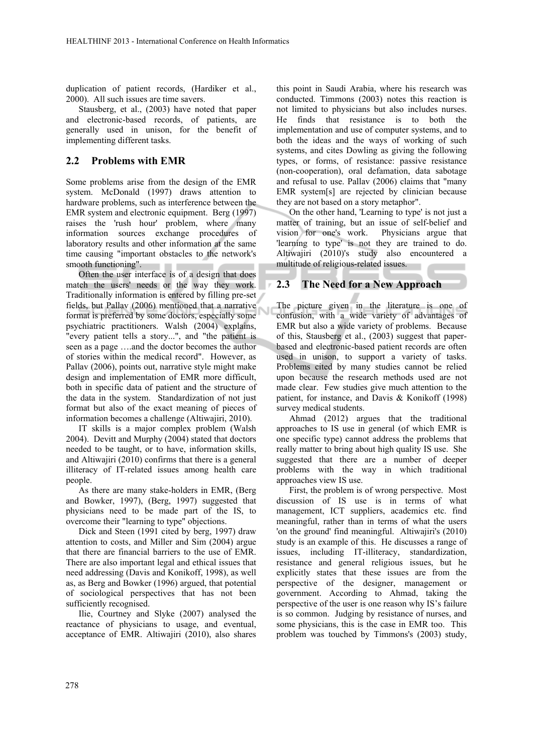duplication of patient records, (Hardiker et al., 2000). All such issues are time savers.

Stausberg, et al., (2003) have noted that paper and electronic-based records, of patients, are generally used in unison, for the benefit of implementing different tasks.

#### **2.2 Problems with EMR**

Some problems arise from the design of the EMR system. McDonald (1997) draws attention to hardware problems, such as interference between the EMR system and electronic equipment. Berg (1997) raises the 'rush hour' problem, where many information sources exchange procedures of laboratory results and other information at the same time causing "important obstacles to the network's smooth functioning". . .

Often the user interface is of a design that does match the users' needs or the way they work. Traditionally information is entered by filling pre-set fields, but Pallav (2006) mentioned that a narrative format is preferred by some doctors, especially some psychiatric practitioners. Walsh (2004) explains, "every patient tells a story...", and "the patient is seen as a page ….and the doctor becomes the author of stories within the medical record". However, as Pallav (2006), points out, narrative style might make design and implementation of EMR more difficult, both in specific data of patient and the structure of the data in the system. Standardization of not just format but also of the exact meaning of pieces of information becomes a challenge (Altiwajiri, 2010).

IT skills is a major complex problem (Walsh 2004). Devitt and Murphy (2004) stated that doctors needed to be taught, or to have, information skills, and Altiwajiri (2010) confirms that there is a general illiteracy of IT-related issues among health care people.

As there are many stake-holders in EMR, (Berg and Bowker, 1997), (Berg, 1997) suggested that physicians need to be made part of the IS, to overcome their "learning to type" objections.

Dick and Steen (1991 cited by berg, 1997) draw attention to costs, and Miller and Sim (2004) argue that there are financial barriers to the use of EMR. There are also important legal and ethical issues that need addressing (Davis and Konikoff, 1998), as well as, as Berg and Bowker (1996) argued, that potential of sociological perspectives that has not been sufficiently recognised.

Ilie, Courtney and Slyke (2007) analysed the reactance of physicians to usage, and eventual, acceptance of EMR. Altiwajiri (2010), also shares

this point in Saudi Arabia, where his research was conducted. Timmons (2003) notes this reaction is not limited to physicians but also includes nurses. He finds that resistance is to both the implementation and use of computer systems, and to both the ideas and the ways of working of such systems, and cites Dowling as giving the following types, or forms, of resistance: passive resistance (non-cooperation), oral defamation, data sabotage and refusal to use. Pallav (2006) claims that "many EMR system[s] are rejected by clinician because they are not based on a story metaphor".

On the other hand, 'Learning to type' is not just a matter of training, but an issue of self-belief and vision for one's work. Physicians argue that 'learning to type' is not they are trained to do. Altiwajiri (2010)'s study also encountered a multitude of religious-related issues.

#### **2.3 The Need for a New Approach**

The picture given in the literature is one of confusion, with a wide variety of advantages of EMR but also a wide variety of problems. Because of this, Stausberg et al., (2003) suggest that paperbased and electronic-based patient records are often used in unison, to support a variety of tasks. Problems cited by many studies cannot be relied upon because the research methods used are not made clear. Few studies give much attention to the patient, for instance, and Davis & Konikoff (1998) survey medical students.

Ahmad (2012) argues that the traditional approaches to IS use in general (of which EMR is one specific type) cannot address the problems that really matter to bring about high quality IS use. She suggested that there are a number of deeper problems with the way in which traditional approaches view IS use.

First, the problem is of wrong perspective. Most discussion of IS use is in terms of what management, ICT suppliers, academics etc. find meaningful, rather than in terms of what the users 'on the ground' find meaningful. Altiwajiri's (2010) study is an example of this. He discusses a range of issues, including IT-illiteracy, standardization, resistance and general religious issues, but he explicitly states that these issues are from the perspective of the designer, management or government. According to Ahmad, taking the perspective of the user is one reason why IS's failure is so common. Judging by resistance of nurses, and some physicians, this is the case in EMR too. This problem was touched by Timmons's (2003) study,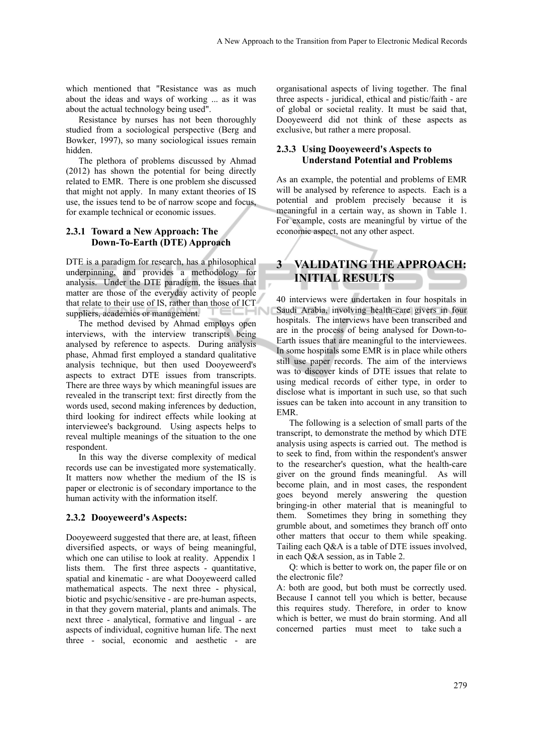which mentioned that "Resistance was as much about the ideas and ways of working ... as it was about the actual technology being used".

Resistance by nurses has not been thoroughly studied from a sociological perspective (Berg and Bowker, 1997), so many sociological issues remain hidden.

The plethora of problems discussed by Ahmad (2012) has shown the potential for being directly related to EMR. There is one problem she discussed that might not apply. In many extant theories of IS use, the issues tend to be of narrow scope and focus, for example technical or economic issues.

#### **2.3.1 Toward a New Approach: The Down-To-Earth (DTE) Approach**

DTE is a paradigm for research, has a philosophical underpinning, and provides a methodology for analysis. Under the DTE paradigm, the issues that matter are those of the everyday activity of people that relate to their use of IS, rather than those of ICT suppliers, academics or management.

The method devised by Ahmad employs open interviews, with the interview transcripts being analysed by reference to aspects. During analysis phase, Ahmad first employed a standard qualitative analysis technique, but then used Dooyeweerd's aspects to extract DTE issues from transcripts. There are three ways by which meaningful issues are revealed in the transcript text: first directly from the words used, second making inferences by deduction, third looking for indirect effects while looking at interviewee's background. Using aspects helps to reveal multiple meanings of the situation to the one respondent.

In this way the diverse complexity of medical records use can be investigated more systematically. It matters now whether the medium of the IS is paper or electronic is of secondary importance to the human activity with the information itself.

#### **2.3.2 Dooyeweerd's Aspects:**

Dooyeweerd suggested that there are, at least, fifteen diversified aspects, or ways of being meaningful, which one can utilise to look at reality. Appendix 1 lists them. The first three aspects - quantitative, spatial and kinematic - are what Dooyeweerd called mathematical aspects. The next three - physical, biotic and psychic/sensitive - are pre-human aspects, in that they govern material, plants and animals. The next three - analytical, formative and lingual - are aspects of individual, cognitive human life. The next three - social, economic and aesthetic - are

organisational aspects of living together. The final three aspects - juridical, ethical and pistic/faith - are of global or societal reality. It must be said that, Dooyeweerd did not think of these aspects as exclusive, but rather a mere proposal.

#### **2.3.3 Using Dooyeweerd's Aspects to Understand Potential and Problems**

As an example, the potential and problems of EMR will be analysed by reference to aspects. Each is a potential and problem precisely because it is meaningful in a certain way, as shown in Table 1. For example, costs are meaningful by virtue of the economic aspect, not any other aspect.

# **3 VALIDATING THE APPROACH: INITIAL RESULTS**

40 interviews were undertaken in four hospitals in Saudi Arabia, involving health-care givers in four hospitals. The interviews have been transcribed and are in the process of being analysed for Down-to-Earth issues that are meaningful to the interviewees. In some hospitals some EMR is in place while others still use paper records. The aim of the interviews was to discover kinds of DTE issues that relate to using medical records of either type, in order to disclose what is important in such use, so that such issues can be taken into account in any transition to EMR.

The following is a selection of small parts of the transcript, to demonstrate the method by which DTE analysis using aspects is carried out. The method is to seek to find, from within the respondent's answer to the researcher's question, what the health-care giver on the ground finds meaningful. As will become plain, and in most cases, the respondent goes beyond merely answering the question bringing-in other material that is meaningful to them. Sometimes they bring in something they grumble about, and sometimes they branch off onto other matters that occur to them while speaking. Tailing each Q&A is a table of DTE issues involved, in each Q&A session, as in Table 2.

Q: which is better to work on, the paper file or on the electronic file?

A: both are good, but both must be correctly used. Because I cannot tell you which is better, because this requires study. Therefore, in order to know which is better, we must do brain storming. And all concerned parties must meet to take such a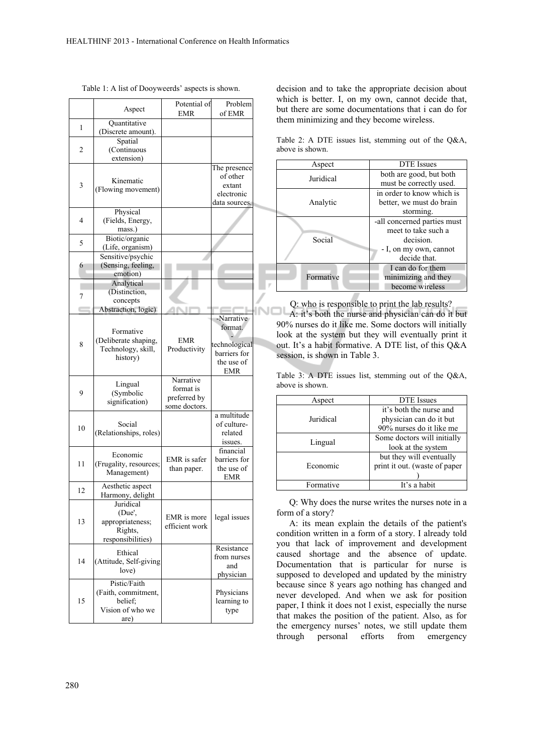|    | Aspect                                                                     | Potential of                                            | Problem                                                           |
|----|----------------------------------------------------------------------------|---------------------------------------------------------|-------------------------------------------------------------------|
|    |                                                                            | EMR                                                     | of EMR                                                            |
| 1  | Quantitative<br>(Discrete amount).                                         |                                                         |                                                                   |
| 2  | Spatial<br>(Continuous<br>extension)                                       |                                                         |                                                                   |
| 3  | Kinematic<br>(Flowing movement)                                            |                                                         | The presence<br>of other<br>extant<br>electronic<br>data sources. |
| 4  | Physical<br>(Fields, Energy,<br>mass.)                                     |                                                         |                                                                   |
| 5  | Biotic/organic<br>(Life, organism)                                         |                                                         |                                                                   |
| 6  | Sensitive/psychic<br>(Sensing, feeling,<br>emotion)                        |                                                         |                                                                   |
| 7  | Analytical<br>(Distinction,<br>concepts                                    |                                                         |                                                                   |
|    | Abstraction, logic)                                                        |                                                         | -Narrative                                                        |
| 8  | Formative<br>(Deliberate shaping,<br>Technology, skill,<br>history)        | EMR<br>Productivity                                     | format.<br>technological<br>barriers for<br>the use of<br>EMR     |
| 9  | Lingual<br>(Symbolic<br>signification)                                     | Narrative<br>format is<br>preferred by<br>some doctors. |                                                                   |
| 10 | Social<br>(Relationships, roles)                                           |                                                         | a multitude<br>of culture-<br>related<br>issues.                  |
| 11 | Economic<br>(Frugality, resources;<br>Management)                          | EMR is safer<br>than paper.                             | financial<br>barriers for<br>the use of<br>EMR                    |
| 12 | Aesthetic aspect<br>Harmony, delight                                       |                                                         |                                                                   |
| 13 | Juridical<br>(Due',<br>appropriateness;<br>Rights,<br>responsibilities)    | EMR is more<br>efficient work                           | legal issues                                                      |
| 14 | Ethical<br>(Attitude, Self-giving<br>love)                                 |                                                         | Resistance<br>from nurses<br>and<br>physician                     |
| 15 | Pistic/Faith<br>(Faith, commitment,<br>belief;<br>Vision of who we<br>are) |                                                         | Physicians<br>learning to<br>type                                 |

Table 1: A list of Dooyweerds' aspects is shown.

decision and to take the appropriate decision about which is better. I, on my own, cannot decide that, but there are some documentations that i can do for them minimizing and they become wireless.

Table 2: A DTE issues list, stemming out of the Q&A, above is shown.

| Aspect    | DTE Issues                  |  |  |
|-----------|-----------------------------|--|--|
| Juridical | both are good, but both     |  |  |
|           | must be correctly used.     |  |  |
|           | in order to know which is   |  |  |
| Analytic  | better, we must do brain    |  |  |
|           | storming.                   |  |  |
|           | -all concerned parties must |  |  |
|           | meet to take such a         |  |  |
| Social    | decision.                   |  |  |
|           | - I, on my own, cannot      |  |  |
|           | decide that.                |  |  |
|           | I can do for them           |  |  |
| Formative | minimizing and they         |  |  |
|           | become wireless             |  |  |

Q: who is responsible to print the lab results? A: it's both the nurse and physician can do it but 90% nurses do it like me. Some doctors will initially look at the system but they will eventually print it out. It's a habit formative. A DTE list, of this Q&A session, is shown in Table 3.

Table 3: A DTE issues list, stemming out of the Q&A, above is shown.

| Aspect    | <b>DTE</b> Issues             |  |  |
|-----------|-------------------------------|--|--|
|           | it's both the nurse and       |  |  |
| Juridical | physician can do it but       |  |  |
|           | 90% nurses do it like me      |  |  |
| Lingual   | Some doctors will initially   |  |  |
|           | look at the system            |  |  |
|           | but they will eventually      |  |  |
| Economic  | print it out. (waste of paper |  |  |
|           |                               |  |  |
| Formative | It's a habit                  |  |  |

Q: Why does the nurse writes the nurses note in a form of a story?

A: its mean explain the details of the patient's condition written in a form of a story. I already told you that lack of improvement and development caused shortage and the absence of update. Documentation that is particular for nurse is supposed to developed and updated by the ministry because since 8 years ago nothing has changed and never developed. And when we ask for position paper, I think it does not l exist, especially the nurse that makes the position of the patient. Also, as for the emergency nurses' notes, we still update them through personal efforts from emergency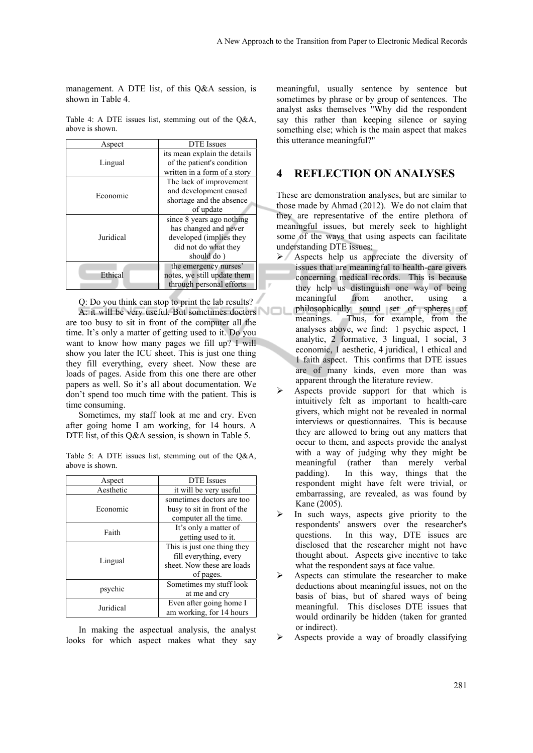management. A DTE list, of this Q&A session, is shown in Table 4.

|                 |  |  | Table 4: A DTE issues list, stemming out of the $Q&AA$ , |  |  |
|-----------------|--|--|----------------------------------------------------------|--|--|
| above is shown. |  |  |                                                          |  |  |

| Aspect    | <b>DTE</b> Issues            |  |  |
|-----------|------------------------------|--|--|
|           | its mean explain the details |  |  |
| Lingual   | of the patient's condition   |  |  |
|           | written in a form of a story |  |  |
|           | The lack of improvement      |  |  |
| Economic  | and development caused       |  |  |
|           | shortage and the absence     |  |  |
|           | of update                    |  |  |
|           | since 8 years ago nothing    |  |  |
|           | has changed and never        |  |  |
| Juridical | developed (implies they      |  |  |
|           | did not do what they         |  |  |
|           | should do)                   |  |  |
|           | the emergency nurses'        |  |  |
| Ethical   | notes, we still update them  |  |  |
|           | through personal efforts     |  |  |

Q: Do you think can stop to print the lab results? A: it will be very useful. But sometimes doctors

are too busy to sit in front of the computer all the time. It's only a matter of getting used to it. Do you want to know how many pages we fill up? I will show you later the ICU sheet. This is just one thing they fill everything, every sheet. Now these are loads of pages. Aside from this one there are other papers as well. So it's all about documentation. We don't spend too much time with the patient. This is time consuming.

Sometimes, my staff look at me and cry. Even after going home I am working, for 14 hours. A DTE list, of this Q&A session, is shown in Table 5.

Table 5: A DTE issues list, stemming out of the Q&A, above is shown.

| Aspect    | <b>DTE</b> Issues           |  |  |
|-----------|-----------------------------|--|--|
| Aesthetic | it will be very useful      |  |  |
|           | sometimes doctors are too   |  |  |
| Economic  | busy to sit in front of the |  |  |
|           | computer all the time.      |  |  |
| Faith     | It's only a matter of       |  |  |
|           | getting used to it.         |  |  |
|           | This is just one thing they |  |  |
| Lingual   | fill everything, every      |  |  |
|           | sheet. Now these are loads  |  |  |
|           | of pages.                   |  |  |
| psychic   | Sometimes my stuff look     |  |  |
|           | at me and cry               |  |  |
| Juridical | Even after going home I     |  |  |
|           | am working, for 14 hours    |  |  |

In making the aspectual analysis, the analyst looks for which aspect makes what they say

meaningful, usually sentence by sentence but sometimes by phrase or by group of sentences. The analyst asks themselves "Why did the respondent say this rather than keeping silence or saying something else; which is the main aspect that makes this utterance meaningful?"

## **4 REFLECTION ON ANALYSES**

These are demonstration analyses, but are similar to those made by Ahmad (2012). We do not claim that they are representative of the entire plethora of meaningful issues, but merely seek to highlight some of the ways that using aspects can facilitate understanding DTE issues:

- Aspects help us appreciate the diversity of issues that are meaningful to health-care givers concerning medical records. This is because they help us distinguish one way of being meaningful from another, using a philosophically sound set of spheres of meanings. Thus, for example, from the analyses above, we find: 1 psychic aspect, 1 analytic, 2 formative, 3 lingual, 1 social, 3 economic, 1 aesthetic, 4 juridical, 1 ethical and 1 faith aspect. This confirms that DTE issues are of many kinds, even more than was apparent through the literature review.
- $\triangleright$  Aspects provide support for that which is intuitively felt as important to health-care givers, which might not be revealed in normal interviews or questionnaires. This is because they are allowed to bring out any matters that occur to them, and aspects provide the analyst with a way of judging why they might be meaningful (rather than merely verbal padding). In this way, things that the respondent might have felt were trivial, or embarrassing, are revealed, as was found by Kane (2005).
- In such ways, aspects give priority to the respondents' answers over the researcher's questions. In this way, DTE issues are disclosed that the researcher might not have thought about. Aspects give incentive to take what the respondent says at face value.
- $\triangleright$  Aspects can stimulate the researcher to make deductions about meaningful issues, not on the basis of bias, but of shared ways of being meaningful. This discloses DTE issues that would ordinarily be hidden (taken for granted or indirect).
- Aspects provide a way of broadly classifying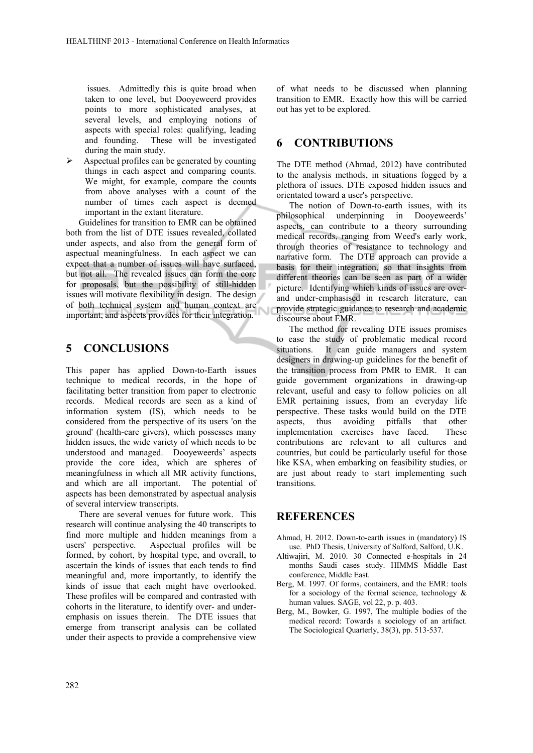issues. Admittedly this is quite broad when taken to one level, but Dooyeweerd provides points to more sophisticated analyses, at several levels, and employing notions of aspects with special roles: qualifying, leading and founding. These will be investigated during the main study.

 Aspectual profiles can be generated by counting things in each aspect and comparing counts. We might, for example, compare the counts from above analyses with a count of the number of times each aspect is deemed important in the extant literature.

Guidelines for transition to EMR can be obtained both from the list of DTE issues revealed, collated under aspects, and also from the general form of aspectual meaningfulness. In each aspect we can expect that a number of issues will have surfaced, but not all. The revealed issues can form the core for proposals, but the possibility of still-hidden issues will motivate flexibility in design. The design of both technical system and human context are important, and aspects provides for their integration.

## **5 CONCLUSIONS**

This paper has applied Down-to-Earth issues technique to medical records, in the hope of facilitating better transition from paper to electronic records. Medical records are seen as a kind of information system (IS), which needs to be considered from the perspective of its users 'on the ground' (health-care givers), which possesses many hidden issues, the wide variety of which needs to be understood and managed. Dooyeweerds' aspects provide the core idea, which are spheres of meaningfulness in which all MR activity functions, and which are all important. The potential of aspects has been demonstrated by aspectual analysis of several interview transcripts.

There are several venues for future work. This research will continue analysing the 40 transcripts to find more multiple and hidden meanings from a users' perspective. Aspectual profiles will be formed, by cohort, by hospital type, and overall, to ascertain the kinds of issues that each tends to find meaningful and, more importantly, to identify the kinds of issue that each might have overlooked. These profiles will be compared and contrasted with cohorts in the literature, to identify over- and underemphasis on issues therein. The DTE issues that emerge from transcript analysis can be collated under their aspects to provide a comprehensive view

of what needs to be discussed when planning transition to EMR. Exactly how this will be carried out has yet to be explored.

## **6 CONTRIBUTIONS**

The DTE method (Ahmad, 2012) have contributed to the analysis methods, in situations fogged by a plethora of issues. DTE exposed hidden issues and orientated toward a user's perspective.

The notion of Down-to-earth issues, with its philosophical underpinning in Dooyeweerds' aspects, can contribute to a theory surrounding medical records, ranging from Weed's early work, through theories of resistance to technology and narrative form. The DTE approach can provide a basis for their integration, so that insights from different theories can be seen as part of a wider picture. Identifying which kinds of issues are overand under-emphasised in research literature, can provide strategic guidance to research and academic discourse about EMR.

The method for revealing DTE issues promises to ease the study of problematic medical record situations. It can guide managers and system designers in drawing-up guidelines for the benefit of the transition process from PMR to EMR. It can guide government organizations in drawing-up relevant, useful and easy to follow policies on all EMR pertaining issues, from an everyday life perspective. These tasks would build on the DTE aspects, thus avoiding pitfalls that other implementation exercises have faced. These contributions are relevant to all cultures and countries, but could be particularly useful for those like KSA, when embarking on feasibility studies, or are just about ready to start implementing such transitions.

## **REFERENCES**

- Ahmad, H. 2012. Down-to-earth issues in (mandatory) IS use. PhD Thesis, University of Salford, Salford, U.K.
- Altiwajiri, M. 2010. 30 Connected e-hospitals in 24 months Saudi cases study. HIMMS Middle East conference, Middle East.
- Berg, M. 1997. Of forms, containers, and the EMR: tools for a sociology of the formal science, technology  $\&$ human values. SAGE, vol 22, p. p. 403.
- Berg, M., Bowker, G. 1997, The multiple bodies of the medical record: Towards a sociology of an artifact. The Sociological Quarterly, 38(3), pp. 513-537.